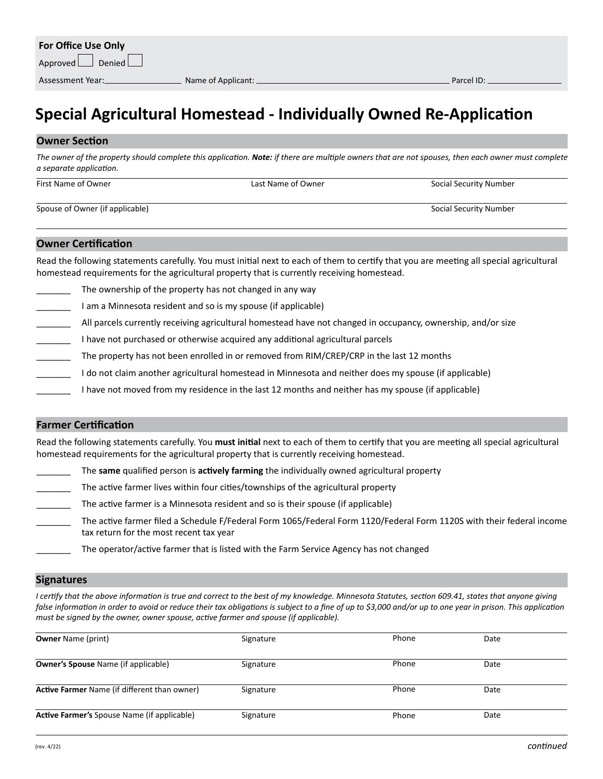## **Special Agricultural Homestead - Individually Owned Re-Application**

### **Owner Section**

The owner of the property should complete this application. Note: if there are multiple owners that are not spouses, then each owner must complete *a separate application.*

| First Name of Owner             | Last Name of Owner | Social Security Number |
|---------------------------------|--------------------|------------------------|
| Spouse of Owner (if applicable) |                    | Social Security Number |

#### **Owner Certification**

Read the following statements carefully. You must initial next to each of them to certify that you are meeting all special agricultural homestead requirements for the agricultural property that is currently receiving homestead.

The ownership of the property has not changed in any way

I am a Minnesota resident and so is my spouse (if applicable)

- All parcels currently receiving agricultural homestead have not changed in occupancy, ownership, and/or size
- I have not purchased or otherwise acquired any additional agricultural parcels
- The property has not been enrolled in or removed from RIM/CREP/CRP in the last 12 months
- I do not claim another agricultural homestead in Minnesota and neither does my spouse (if applicable)
- I have not moved from my residence in the last 12 months and neither has my spouse (if applicable)

## **Farmer Certification**

Read the following statements carefully. You **must initial** next to each of them to certify that you are meeting all special agricultural homestead requirements for the agricultural property that is currently receiving homestead.

- \_\_\_\_\_\_\_ The **same** qualified person is **actively farming** the individually owned agricultural property
- The active farmer lives within four cities/townships of the agricultural property
- The active farmer is a Minnesota resident and so is their spouse (if applicable)
- The active farmer filed a Schedule F/Federal Form 1065/Federal Form 1120/Federal Form 1120S with their federal income tax return for the most recent tax year
	- The operator/active farmer that is listed with the Farm Service Agency has not changed

#### **Signatures**

*I certify that the above information is true and correct to the best of my knowledge. Minnesota Statutes, section 609.41, states that anyone giving*  false information in order to avoid or reduce their tax obligations is subject to a fine of up to \$3,000 and/or up to one year in prison. This application *must be signed by the owner, owner spouse, active farmer and spouse (if applicable).*

| <b>Owner Name (print)</b>                           | Signature | Phone | Date |  |
|-----------------------------------------------------|-----------|-------|------|--|
| <b>Owner's Spouse Name (if applicable)</b>          | Signature | Phone | Date |  |
| <b>Active Farmer Name (if different than owner)</b> | Signature | Phone | Date |  |
| <b>Active Farmer's Spouse Name (if applicable)</b>  | Signature | Phone | Date |  |